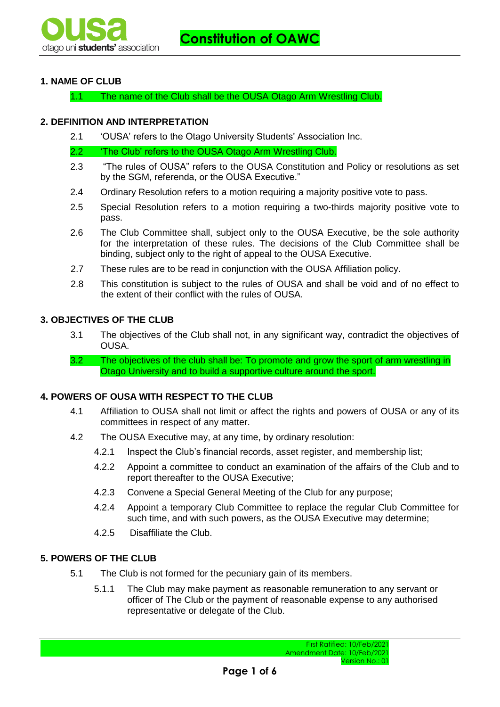# **1. NAME OF CLUB**

1.1 The name of the Club shall be the OUSA Otago Arm Wrestling Club.

### **2. DEFINITION AND INTERPRETATION**

2.1 'OUSA' refers to the Otago University Students' Association Inc.

2.2 'The Club' refers to the OUSA Otago Arm Wrestling Club.

- 2.3 "The rules of OUSA" refers to the OUSA Constitution and Policy or resolutions as set by the SGM, referenda, or the OUSA Executive."
- 2.4 Ordinary Resolution refers to a motion requiring a majority positive vote to pass.
- 2.5 Special Resolution refers to a motion requiring a two-thirds majority positive vote to pass.
- 2.6 The Club Committee shall, subject only to the OUSA Executive, be the sole authority for the interpretation of these rules. The decisions of the Club Committee shall be binding, subject only to the right of appeal to the OUSA Executive.
- 2.7 These rules are to be read in conjunction with the OUSA Affiliation policy.
- 2.8 This constitution is subject to the rules of OUSA and shall be void and of no effect to the extent of their conflict with the rules of OUSA.

### **3. OBJECTIVES OF THE CLUB**

- 3.1 The objectives of the Club shall not, in any significant way, contradict the objectives of OUSA.
- 3.2 The objectives of the club shall be: To promote and grow the sport of arm wrestling in Otago University and to build a supportive culture around the sport.

### **4. POWERS OF OUSA WITH RESPECT TO THE CLUB**

- 4.1 Affiliation to OUSA shall not limit or affect the rights and powers of OUSA or any of its committees in respect of any matter.
- 4.2 The OUSA Executive may, at any time, by ordinary resolution:
	- 4.2.1 Inspect the Club's financial records, asset register, and membership list;
	- 4.2.2 Appoint a committee to conduct an examination of the affairs of the Club and to report thereafter to the OUSA Executive;
	- 4.2.3 Convene a Special General Meeting of the Club for any purpose;
	- 4.2.4 Appoint a temporary Club Committee to replace the regular Club Committee for such time, and with such powers, as the OUSA Executive may determine;
	- 4.2.5 Disaffiliate the Club.

# **5. POWERS OF THE CLUB**

- 5.1 The Club is not formed for the pecuniary gain of its members.
	- 5.1.1 The Club may make payment as reasonable remuneration to any servant or officer of The Club or the payment of reasonable expense to any authorised representative or delegate of the Club.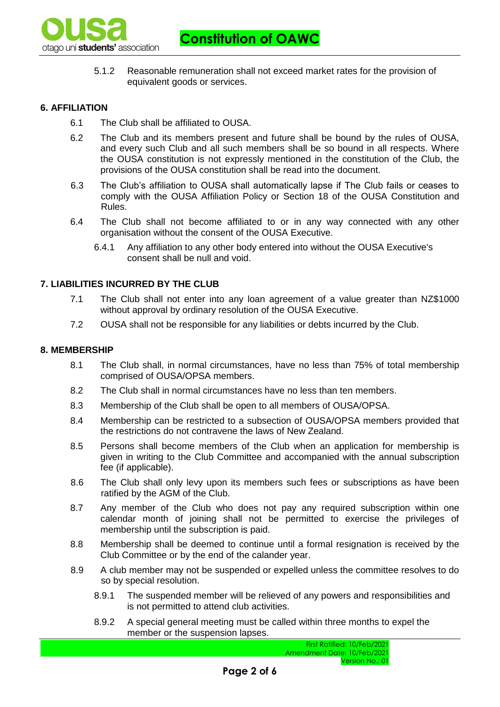

**Constitution of OAWC**

5.1.2 Reasonable remuneration shall not exceed market rates for the provision of equivalent goods or services.

### **6. AFFILIATION**

- 6.1 The Club shall be affiliated to OUSA.
- 6.2 The Club and its members present and future shall be bound by the rules of OUSA, and every such Club and all such members shall be so bound in all respects. Where the OUSA constitution is not expressly mentioned in the constitution of the Club, the provisions of the OUSA constitution shall be read into the document.
- 6.3 The Club's affiliation to OUSA shall automatically lapse if The Club fails or ceases to comply with the OUSA Affiliation Policy or Section 18 of the OUSA Constitution and Rules.
- 6.4 The Club shall not become affiliated to or in any way connected with any other organisation without the consent of the OUSA Executive.
	- 6.4.1 Any affiliation to any other body entered into without the OUSA Executive's consent shall be null and void.

### **7. LIABILITIES INCURRED BY THE CLUB**

- 7.1 The Club shall not enter into any loan agreement of a value greater than NZ\$1000 without approval by ordinary resolution of the OUSA Executive.
- 7.2 OUSA shall not be responsible for any liabilities or debts incurred by the Club.

#### **8. MEMBERSHIP**

- 8.1 The Club shall, in normal circumstances, have no less than 75% of total membership comprised of OUSA/OPSA members.
- 8.2 The Club shall in normal circumstances have no less than ten members.
- 8.3 Membership of the Club shall be open to all members of OUSA/OPSA.
- 8.4 Membership can be restricted to a subsection of OUSA/OPSA members provided that the restrictions do not contravene the laws of New Zealand.
- 8.5 Persons shall become members of the Club when an application for membership is given in writing to the Club Committee and accompanied with the annual subscription fee (if applicable).
- 8.6 The Club shall only levy upon its members such fees or subscriptions as have been ratified by the AGM of the Club.
- 8.7 Any member of the Club who does not pay any required subscription within one calendar month of joining shall not be permitted to exercise the privileges of membership until the subscription is paid.
- 8.8 Membership shall be deemed to continue until a formal resignation is received by the Club Committee or by the end of the calander year.
- 8.9 A club member may not be suspended or expelled unless the committee resolves to do so by special resolution.
	- 8.9.1 The suspended member will be relieved of any powers and responsibilities and is not permitted to attend club activities.
	- 8.9.2 A special general meeting must be called within three months to expel the member or the suspension lapses.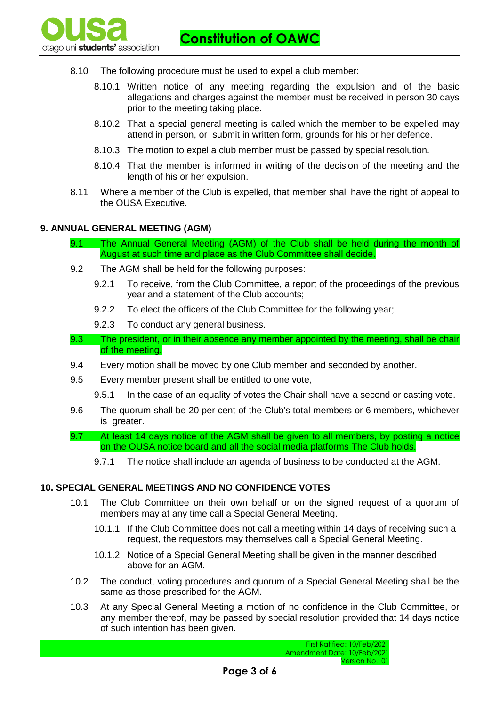**Constitution of OAWC**

- 8.10 The following procedure must be used to expel a club member:
	- 8.10.1 Written notice of any meeting regarding the expulsion and of the basic allegations and charges against the member must be received in person 30 days prior to the meeting taking place.
	- 8.10.2 That a special general meeting is called which the member to be expelled may attend in person, or submit in written form, grounds for his or her defence.
	- 8.10.3 The motion to expel a club member must be passed by special resolution.
	- 8.10.4 That the member is informed in writing of the decision of the meeting and the length of his or her expulsion.
- 8.11 Where a member of the Club is expelled, that member shall have the right of appeal to the OUSA Executive.

### **9. ANNUAL GENERAL MEETING (AGM)**

ptago uni **students'** association

- 9.1 The Annual General Meeting (AGM) of the Club shall be held during the month of August at such time and place as the Club Committee shall decide.
- 9.2 The AGM shall be held for the following purposes:
	- 9.2.1 To receive, from the Club Committee, a report of the proceedings of the previous year and a statement of the Club accounts;
	- 9.2.2 To elect the officers of the Club Committee for the following year;
	- 9.2.3 To conduct any general business.
- 9.3 The president, or in their absence any member appointed by the meeting, shall be chair of the meeting.
- 9.4 Every motion shall be moved by one Club member and seconded by another.
- 9.5 Every member present shall be entitled to one vote,
	- 9.5.1 In the case of an equality of votes the Chair shall have a second or casting vote.
- 9.6 The quorum shall be 20 per cent of the Club's total members or 6 members, whichever is greater.
- 9.7 At least 14 days notice of the AGM shall be given to all members, by posting a notice on the OUSA notice board and all the social media platforms The Club holds.
	- 9.7.1 The notice shall include an agenda of business to be conducted at the AGM.

#### **10. SPECIAL GENERAL MEETINGS AND NO CONFIDENCE VOTES**

- 10.1 The Club Committee on their own behalf or on the signed request of a quorum of members may at any time call a Special General Meeting.
	- 10.1.1 If the Club Committee does not call a meeting within 14 days of receiving such a request, the requestors may themselves call a Special General Meeting.
	- 10.1.2 Notice of a Special General Meeting shall be given in the manner described above for an AGM.
- 10.2 The conduct, voting procedures and quorum of a Special General Meeting shall be the same as those prescribed for the AGM.
- 10.3 At any Special General Meeting a motion of no confidence in the Club Committee, or any member thereof, may be passed by special resolution provided that 14 days notice of such intention has been given.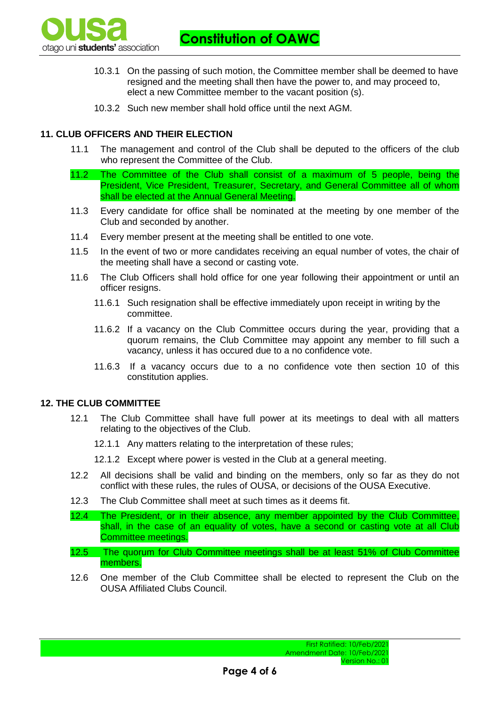

**Constitution of OAWC**

- 10.3.1 On the passing of such motion, the Committee member shall be deemed to have resigned and the meeting shall then have the power to, and may proceed to, elect a new Committee member to the vacant position (s).
- 10.3.2 Such new member shall hold office until the next AGM.

# **11. CLUB OFFICERS AND THEIR ELECTION**

- 11.1 The management and control of the Club shall be deputed to the officers of the club who represent the Committee of the Club.
- 11.2 The Committee of the Club shall consist of a maximum of 5 people, being the President, Vice President, Treasurer, Secretary, and General Committee all of whom shall be elected at the Annual General Meeting.
- 11.3 Every candidate for office shall be nominated at the meeting by one member of the Club and seconded by another.
- 11.4 Every member present at the meeting shall be entitled to one vote.
- 11.5 In the event of two or more candidates receiving an equal number of votes, the chair of the meeting shall have a second or casting vote.
- 11.6 The Club Officers shall hold office for one year following their appointment or until an officer resigns.
	- 11.6.1 Such resignation shall be effective immediately upon receipt in writing by the committee.
	- 11.6.2 If a vacancy on the Club Committee occurs during the year, providing that a quorum remains, the Club Committee may appoint any member to fill such a vacancy, unless it has occured due to a no confidence vote.
	- 11.6.3 If a vacancy occurs due to a no confidence vote then section 10 of this constitution applies.

### **12. THE CLUB COMMITTEE**

- 12.1 The Club Committee shall have full power at its meetings to deal with all matters relating to the objectives of the Club.
	- 12.1.1 Any matters relating to the interpretation of these rules;
	- 12.1.2 Except where power is vested in the Club at a general meeting.
- 12.2 All decisions shall be valid and binding on the members, only so far as they do not conflict with these rules, the rules of OUSA, or decisions of the OUSA Executive.
- 12.3 The Club Committee shall meet at such times as it deems fit.
- 12.4 The President, or in their absence, any member appointed by the Club Committee, shall, in the case of an equality of votes, have a second or casting vote at all Club Committee meetings.
- 12.5 The quorum for Club Committee meetings shall be at least 51% of Club Committee members.
- 12.6 One member of the Club Committee shall be elected to represent the Club on the OUSA Affiliated Clubs Council.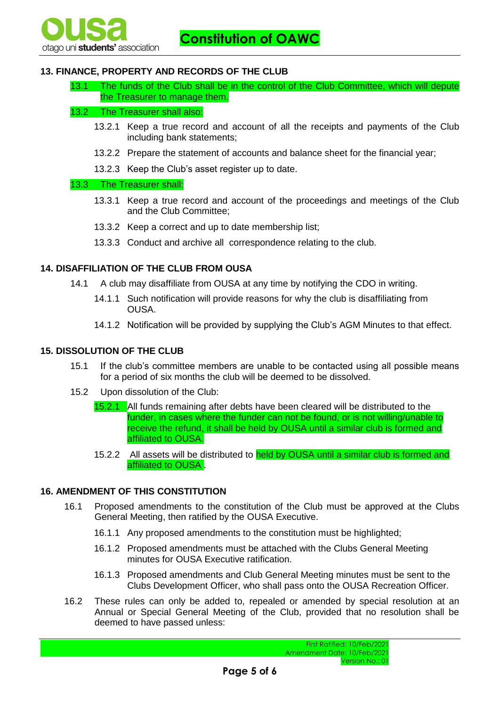# **13. FINANCE, PROPERTY AND RECORDS OF THE CLUB**

13.1 The funds of the Club shall be in the control of the Club Committee, which will depute the Treasurer to manage them.

### 13.2 The Treasurer shall also:

- 13.2.1 Keep a true record and account of all the receipts and payments of the Club including bank statements;
- 13.2.2 Prepare the statement of accounts and balance sheet for the financial year;
- 13.2.3 Keep the Club's asset register up to date.

### 13.3 The Treasurer shall:

- 13.3.1 Keep a true record and account of the proceedings and meetings of the Club and the Club Committee;
- 13.3.2 Keep a correct and up to date membership list;
- 13.3.3 Conduct and archive all correspondence relating to the club.

# **14. DISAFFILIATION OF THE CLUB FROM OUSA**

- 14.1 A club may disaffiliate from OUSA at any time by notifying the CDO in writing.
	- 14.1.1 Such notification will provide reasons for why the club is disaffiliating from OUSA.
	- 14.1.2 Notification will be provided by supplying the Club's AGM Minutes to that effect.

# **15. DISSOLUTION OF THE CLUB**

- 15.1 If the club's committee members are unable to be contacted using all possible means for a period of six months the club will be deemed to be dissolved.
- 15.2 Upon dissolution of the Club:
	- 15.2.1 All funds remaining after debts have been cleared will be distributed to the funder, in cases where the funder can not be found, or is not willing/unable to receive the refund, it shall be held by OUSA until a similar club is formed and affiliated to OUSA.
	- 15.2.2 All assets will be distributed to held by OUSA until a similar club is formed and affiliated to OUSA .

### **16. AMENDMENT OF THIS CONSTITUTION**

- 16.1 Proposed amendments to the constitution of the Club must be approved at the Clubs General Meeting, then ratified by the OUSA Executive.
	- 16.1.1 Any proposed amendments to the constitution must be highlighted;
	- 16.1.2 Proposed amendments must be attached with the Clubs General Meeting minutes for OUSA Executive ratification.
	- 16.1.3 Proposed amendments and Club General Meeting minutes must be sent to the Clubs Development Officer, who shall pass onto the OUSA Recreation Officer.
- 16.2 These rules can only be added to, repealed or amended by special resolution at an Annual or Special General Meeting of the Club, provided that no resolution shall be deemed to have passed unless: